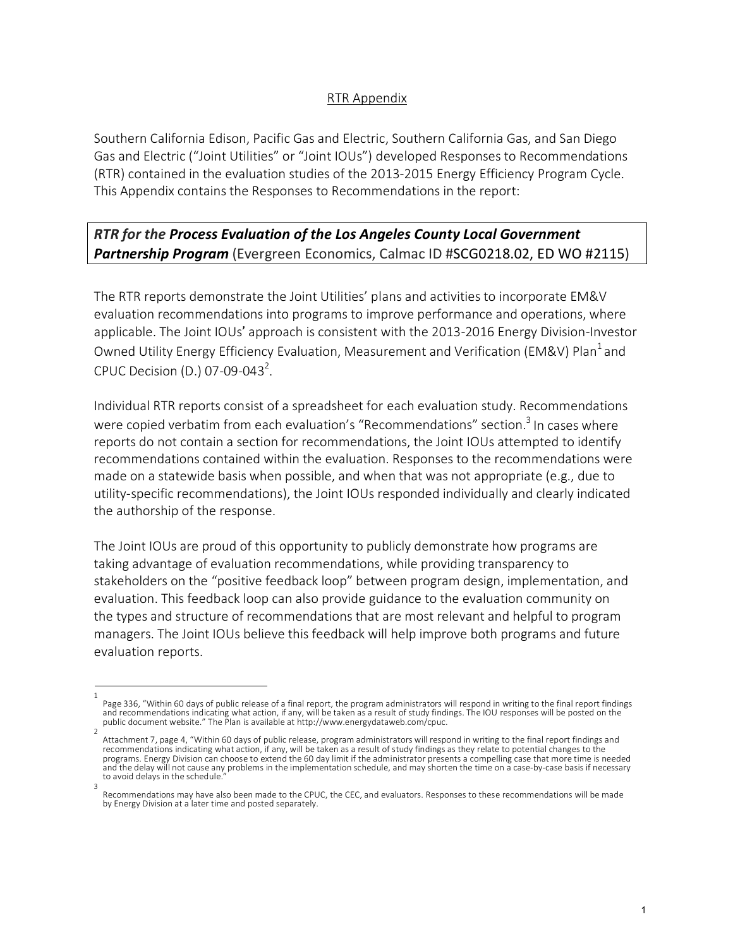## RTR Appendix

Southern California Edison, Pacific Gas and Electric, Southern California Gas, and San Diego Gas and Electric ("Joint Utilities" or "Joint IOUs") developed Responses to Recommendations (RTR) contained in the evaluation studies of the 2013-2015 Energy Efficiency Program Cycle. This Appendix contains the Responses to Recommendations in the report:

## *RTR for the Process Evaluation of the Los Angeles County Local Government Partnership Program* (Evergreen Economics, Calmac ID #SCG0218.02, ED WO #2115)

The RTR reports demonstrate the Joint Utilities' plans and activities to incorporate EM&V evaluation recommendations into programs to improve performance and operations, where applicable. The Joint IOUs' approach is consistent with the 2013-2016 Energy Division-Investor Owned Utility Energy Efficiency Evaluation, Measurement and Verification (EM&V) Plan<sup>1</sup> and CPUC Decision (D.) 07-09-043<sup>2</sup>.

Individual RTR reports consist of a spreadsheet for each evaluation study. Recommendations were copied verbatim from each evaluation's "Recommendations" section.<sup>3</sup> In cases where reports do not contain a section for recommendations, the Joint IOUs attempted to identify recommendations contained within the evaluation. Responses to the recommendations were made on a statewide basis when possible, and when that was not appropriate (e.g., due to utility-specific recommendations), the Joint IOUs responded individually and clearly indicated the authorship of the response.

The Joint IOUs are proud of this opportunity to publicly demonstrate how programs are taking advantage of evaluation recommendations, while providing transparency to stakeholders on the "positive feedback loop" between program design, implementation, and evaluation. This feedback loop can also provide guidance to the evaluation community on the types and structure of recommendations that are most relevant and helpful to program managers. The Joint IOUs believe this feedback will help improve both programs and future evaluation reports.

<sup>1</sup>  Page 336, "Within 60 days of public release of a final report, the program administrators will respond in writing to the final report findings<br>and recommendations indicating what action, if any, will be taken as a result o public document website." The Plan is available at http://www.energydataweb.com/cpuc.

Attachment 7, page 4, "Within 60 days of public release, program administrators will respond in writing to the final report findings and recommendations indicating what action, if any, will be taken as a result of study findings as they relate to potential changes to the programs. Energy Division can choose to extend the 60 day limit if the administrator presents a compelling case that more time is needed and the delay will not cause any problems in the implementation schedule, and may shorten the time on a case-by-case basis if necessary to avoid delays in the schedule. 3

Recommendations may have also been made to the CPUC, the CEC, and evaluators. Responses to these recommendations will be made by Energy Division at a later time and posted separately.